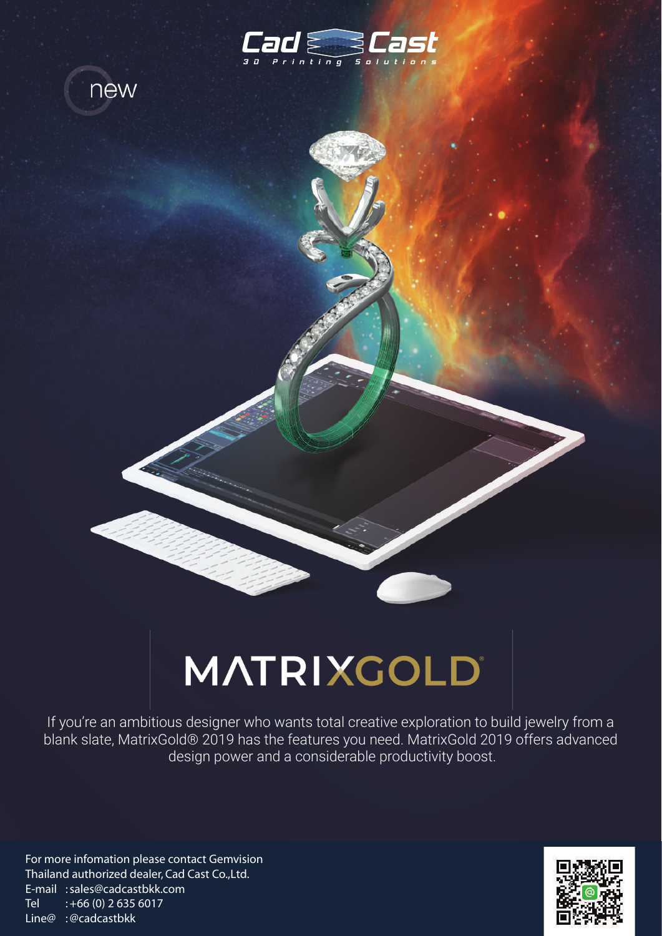



## MATRIXGOLD®

If you're an ambitious designer who wants total creative exploration to build jewelry from a blank slate, MatrixGold® 2019 has the features you need. MatrixGold 2019 offers advanced design power and a considerable productivity boost.

For more infomation please contact Gemvision Thailand authorized dealer, Cad Cast Co.,Ltd. E-mail : sales@cadcastbkk.com Tel  $: +66(0)$  2 635 6017 Line@ : @cadcastbkk